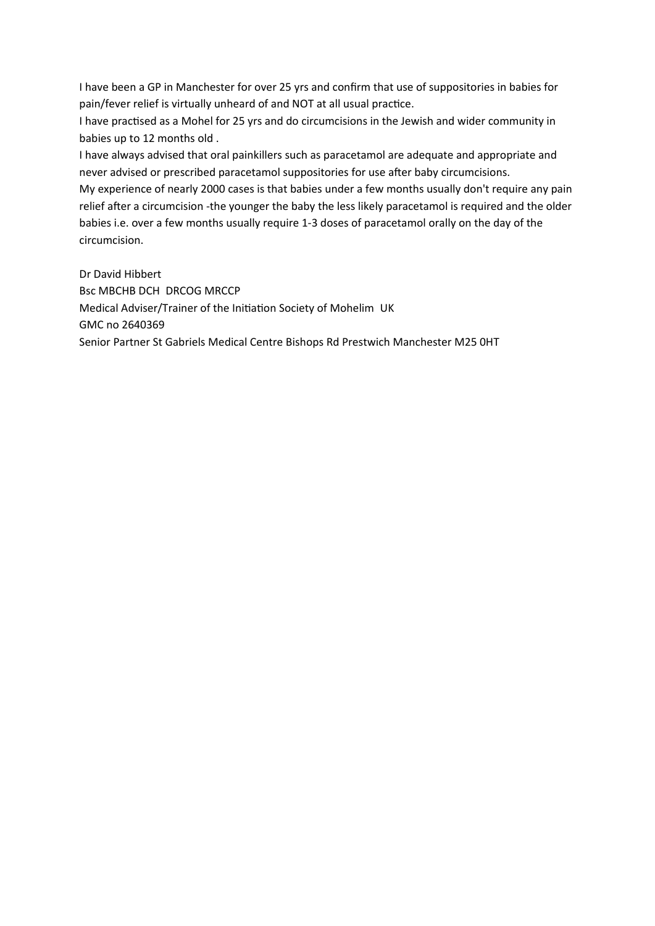I have been a GP in Manchester for over 25 yrs and confirm that use of suppositories in babies for pain/fever relief is virtually unheard of and NOT at all usual practice.

I have practised as a Mohel for 25 yrs and do circumcisions in the Jewish and wider community in babies up to 12 months old .

I have always advised that oral painkillers such as paracetamol are adequate and appropriate and never advised or prescribed paracetamol suppositories for use after baby circumcisions.

My experience of nearly 2000 cases is that babies under a few months usually don't require any pain relief after a circumcision -the younger the baby the less likely paracetamol is required and the older babies i.e. over a few months usually require 1-3 doses of paracetamol orally on the day of the circumcision.

Dr David Hibbert Bsc MBCHB DCH DRCOG MRCCP Medical Adviser/Trainer of the Initiation Society of Mohelim UK GMC no 2640369 Senior Partner St Gabriels Medical Centre Bishops Rd Prestwich Manchester M25 0HT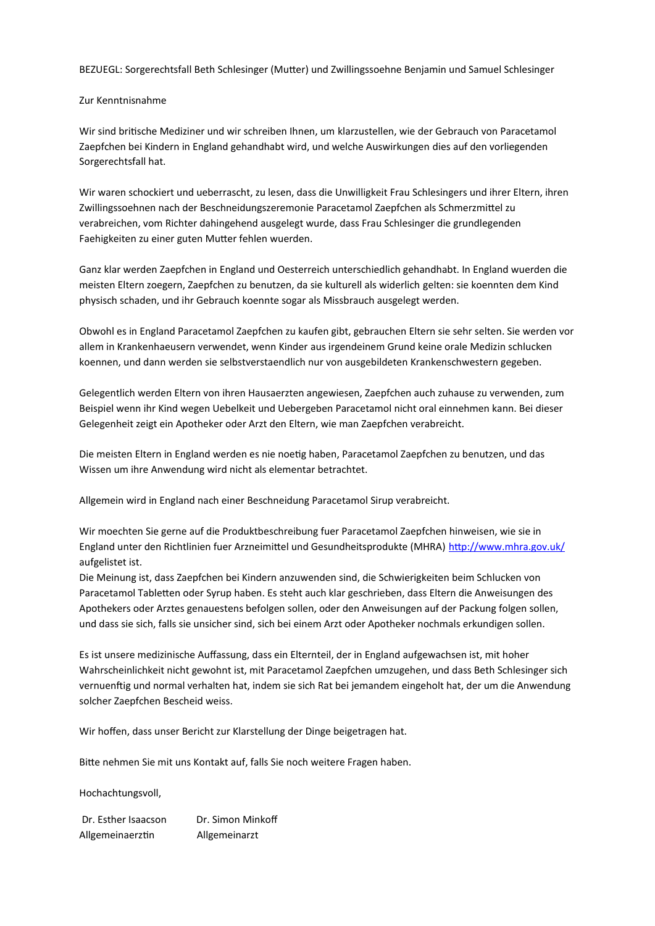BEZUEGL: Sorgerechtsfall Beth Schlesinger (Mutter) und Zwillingssoehne Benjamin und Samuel Schlesinger

#### Zur Kenntnisnahme

Wir sind britische Mediziner und wir schreiben Ihnen, um klarzustellen, wie der Gebrauch von Paracetamol Zaepfchen bei Kindern in England gehandhabt wird, und welche Auswirkungen dies auf den vorliegenden Sorgerechtsfall hat.

Wir waren schockiert und ueberrascht, zu lesen, dass die Unwilligkeit Frau Schlesingers und ihrer Eltern, ihren Zwillingssoehnen nach der Beschneidungszeremonie Paracetamol Zaepfchen als Schmerzmittel zu verabreichen, vom Richter dahingehend ausgelegt wurde, dass Frau Schlesinger die grundlegenden Faehigkeiten zu einer guten Mutter fehlen wuerden.

Ganz klar werden Zaepfchen in England und Oesterreich unterschiedlich gehandhabt. In England wuerden die meisten Eltern zoegern, Zaepfchen zu benutzen, da sie kulturell als widerlich gelten: sie koennten dem Kind physisch schaden, und ihr Gebrauch koennte sogar als Missbrauch ausgelegt werden.

Obwohl es in England Paracetamol Zaepfchen zu kaufen gibt, gebrauchen Eltern sie sehr selten. Sie werden vor allem in Krankenhaeusern verwendet, wenn Kinder aus irgendeinem Grund keine orale Medizin schlucken koennen, und dann werden sie selbstverstaendlich nur von ausgebildeten Krankenschwestern gegeben.

Gelegentlich werden Eltern von ihren Hausaerzten angewiesen, Zaepfchen auch zuhause zu verwenden, zum Beispiel wenn ihr Kind wegen Uebelkeit und Uebergeben Paracetamol nicht oral einnehmen kann. Bei dieser Gelegenheit zeigt ein Apotheker oder Arzt den Eltern, wie man Zaepfchen verabreicht.

Die meisten Eltern in England werden es nie noetig haben, Paracetamol Zaepfchen zu benutzen, und das Wissen um ihre Anwendung wird nicht als elementar betrachtet.

Allgemein wird in England nach einer Beschneidung Paracetamol Sirup verabreicht.

Wir moechten Sie gerne auf die Produktbeschreibung fuer Paracetamol Zaepfchen hinweisen, wie sie in England unter den Richtlinien fuer Arzneimittel und Gesundheitsprodukte (MHRA) <http://www.mhra.gov.uk/> aufgelistet ist.

Die Meinung ist, dass Zaepfchen bei Kindern anzuwenden sind, die Schwierigkeiten beim Schlucken von Paracetamol Tabletten oder Syrup haben. Es steht auch klar geschrieben, dass Eltern die Anweisungen des Apothekers oder Arztes genauestens befolgen sollen, oder den Anweisungen auf der Packung folgen sollen, und dass sie sich, falls sie unsicher sind, sich bei einem Arzt oder Apotheker nochmals erkundigen sollen.

Es ist unsere medizinische Auffassung, dass ein Elternteil, der in England aufgewachsen ist, mit hoher Wahrscheinlichkeit nicht gewohnt ist, mit Paracetamol Zaepfchen umzugehen, und dass Beth Schlesinger sich vernuenftig und normal verhalten hat, indem sie sich Rat bei jemandem eingeholt hat, der um die Anwendung solcher Zaepfchen Bescheid weiss.

Wir hoffen, dass unser Bericht zur Klarstellung der Dinge beigetragen hat.

Bitte nehmen Sie mit uns Kontakt auf, falls Sie noch weitere Fragen haben.

Hochachtungsvoll,

Dr. Esther Isaacson Dr. Simon Minkoff Allgemeinaerztin Allgemeinarzt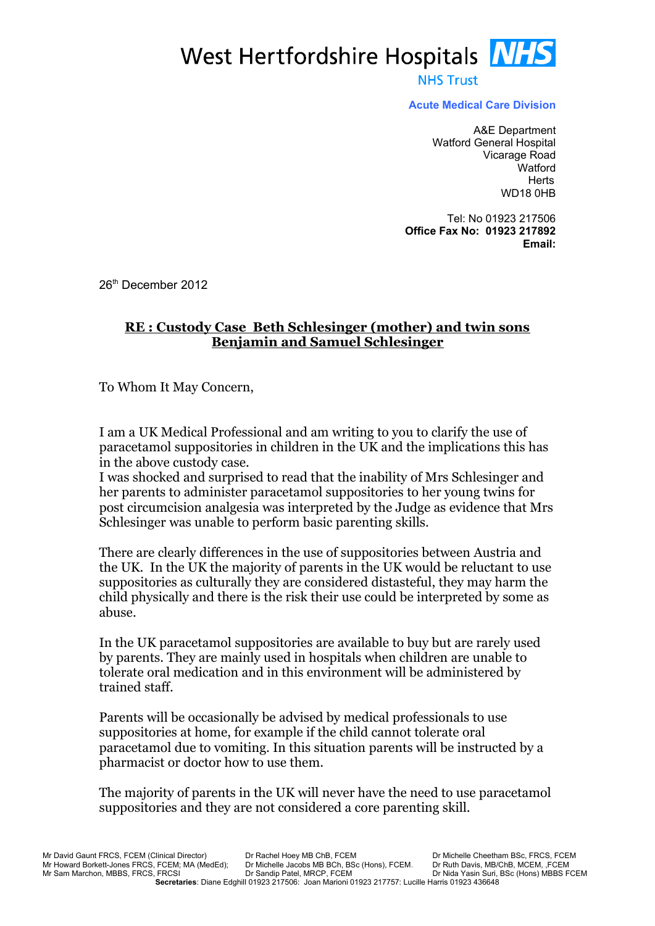West Hertfordshire Hospitals **NHS** 

**NHS Trust** 

**Acute Medical Care Division**

A&E Department Watford General Hospital Vicarage Road **Watford Herts** WD18 0HB

Tel: No 01923 217506 **Office Fax No: 01923 217892 Email:** 

26<sup>th</sup> December 2012

#### **RE : Custody Case Beth Schlesinger (mother) and twin sons Benjamin and Samuel Schlesinger**

To Whom It May Concern,

I am a UK Medical Professional and am writing to you to clarify the use of paracetamol suppositories in children in the UK and the implications this has in the above custody case.

I was shocked and surprised to read that the inability of Mrs Schlesinger and her parents to administer paracetamol suppositories to her young twins for post circumcision analgesia was interpreted by the Judge as evidence that Mrs Schlesinger was unable to perform basic parenting skills.

There are clearly differences in the use of suppositories between Austria and the UK. In the UK the majority of parents in the UK would be reluctant to use suppositories as culturally they are considered distasteful, they may harm the child physically and there is the risk their use could be interpreted by some as abuse.

In the UK paracetamol suppositories are available to buy but are rarely used by parents. They are mainly used in hospitals when children are unable to tolerate oral medication and in this environment will be administered by trained staff.

Parents will be occasionally be advised by medical professionals to use suppositories at home, for example if the child cannot tolerate oral paracetamol due to vomiting. In this situation parents will be instructed by a pharmacist or doctor how to use them.

The majority of parents in the UK will never have the need to use paracetamol suppositories and they are not considered a core parenting skill.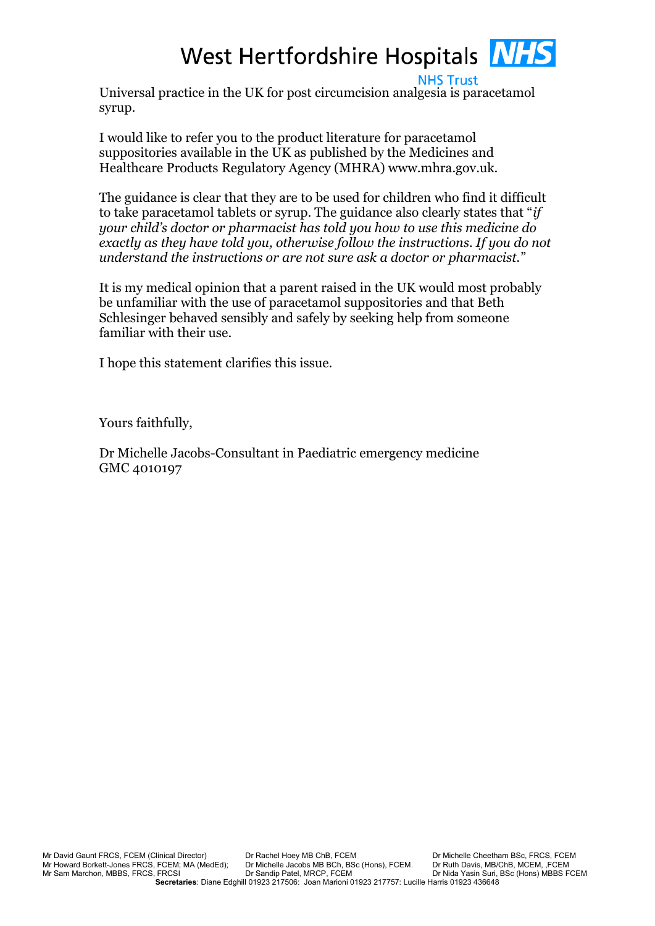# West Hertfordshire Hospitals **NHS**

**NHS Trust** Universal practice in the UK for post circumcision analgesia is paracetamol syrup.

I would like to refer you to the product literature for paracetamol suppositories available in the UK as published by the Medicines and Healthcare Products Regulatory Agency (MHRA) www.mhra.gov.uk.

The guidance is clear that they are to be used for children who find it difficult to take paracetamol tablets or syrup. The guidance also clearly states that "*if your child's doctor or pharmacist has told you how to use this medicine do exactly as they have told you, otherwise follow the instructions. If you do not understand the instructions or are not sure ask a doctor or pharmacist.*"

It is my medical opinion that a parent raised in the UK would most probably be unfamiliar with the use of paracetamol suppositories and that Beth Schlesinger behaved sensibly and safely by seeking help from someone familiar with their use.

I hope this statement clarifies this issue.

Yours faithfully,

Dr Michelle Jacobs-Consultant in Paediatric emergency medicine GMC 4010197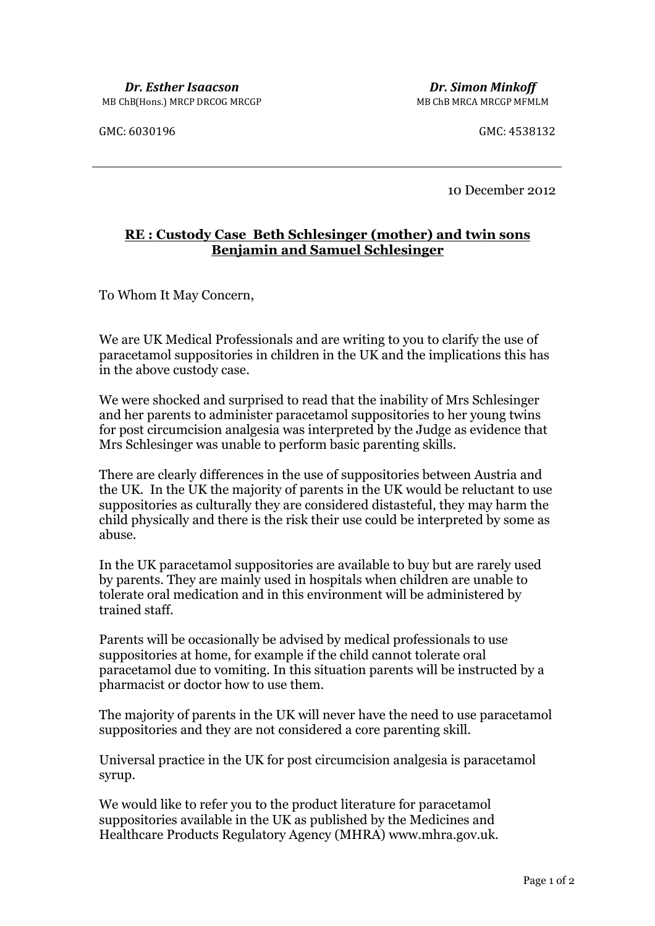GMC: 6030196 GMC: 4538132

10 December 2012

## **RE : Custody Case Beth Schlesinger (mother) and twin sons Benjamin and Samuel Schlesinger**

To Whom It May Concern,

We are UK Medical Professionals and are writing to you to clarify the use of paracetamol suppositories in children in the UK and the implications this has in the above custody case.

We were shocked and surprised to read that the inability of Mrs Schlesinger and her parents to administer paracetamol suppositories to her young twins for post circumcision analgesia was interpreted by the Judge as evidence that Mrs Schlesinger was unable to perform basic parenting skills.

There are clearly differences in the use of suppositories between Austria and the UK. In the UK the majority of parents in the UK would be reluctant to use suppositories as culturally they are considered distasteful, they may harm the child physically and there is the risk their use could be interpreted by some as abuse.

In the UK paracetamol suppositories are available to buy but are rarely used by parents. They are mainly used in hospitals when children are unable to tolerate oral medication and in this environment will be administered by trained staff.

Parents will be occasionally be advised by medical professionals to use suppositories at home, for example if the child cannot tolerate oral paracetamol due to vomiting. In this situation parents will be instructed by a pharmacist or doctor how to use them.

The majority of parents in the UK will never have the need to use paracetamol suppositories and they are not considered a core parenting skill.

Universal practice in the UK for post circumcision analgesia is paracetamol syrup.

We would like to refer you to the product literature for paracetamol suppositories available in the UK as published by the Medicines and Healthcare Products Regulatory Agency (MHRA) www.mhra.gov.uk.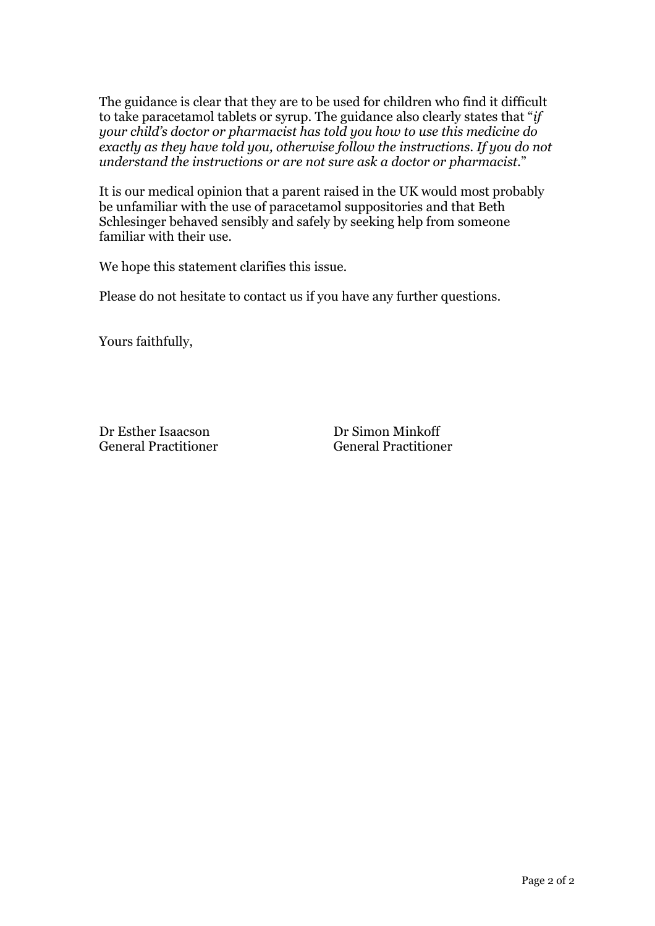The guidance is clear that they are to be used for children who find it difficult to take paracetamol tablets or syrup. The guidance also clearly states that "*if your child's doctor or pharmacist has told you how to use this medicine do exactly as they have told you, otherwise follow the instructions. If you do not understand the instructions or are not sure ask a doctor or pharmacist.*"

It is our medical opinion that a parent raised in the UK would most probably be unfamiliar with the use of paracetamol suppositories and that Beth Schlesinger behaved sensibly and safely by seeking help from someone familiar with their use.

We hope this statement clarifies this issue.

Please do not hesitate to contact us if you have any further questions.

Yours faithfully,

Dr Esther Isaacson General Practitioner Dr Simon Minkoff General Practitioner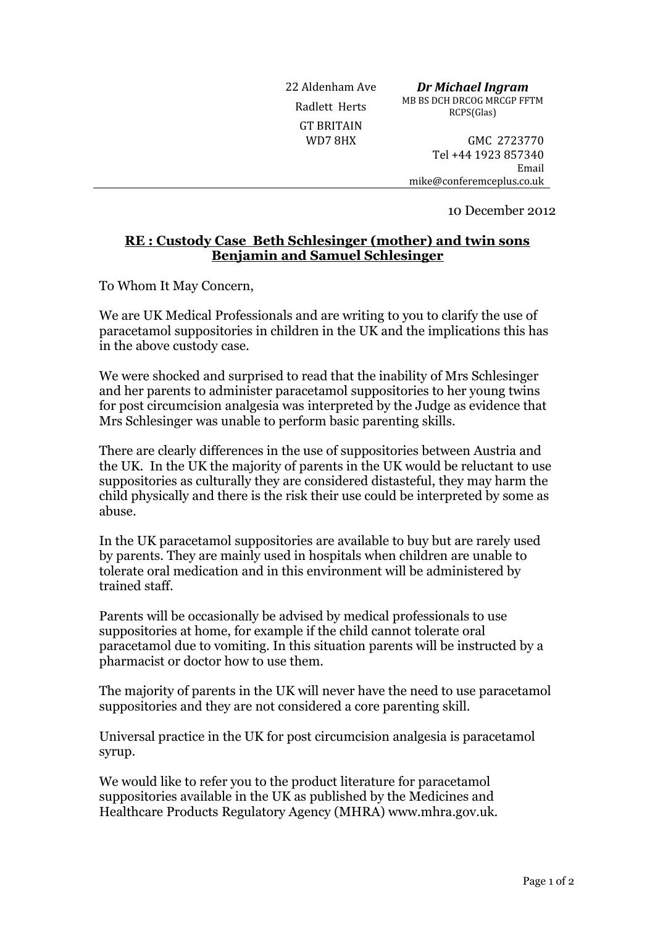GT BRITAIN

22 Aldenham Ave *Dr Michael Ingram* Radlett Herts MB BS DCH DRCOG MRCGP FFTM RCPS(Glas)

WD7 8HX GMC 2723770 Tel +44 1923 857340 Email mike@conferemceplus.co.uk

10 December 2012

#### **RE : Custody Case Beth Schlesinger (mother) and twin sons Benjamin and Samuel Schlesinger**

To Whom It May Concern,

We are UK Medical Professionals and are writing to you to clarify the use of paracetamol suppositories in children in the UK and the implications this has in the above custody case.

We were shocked and surprised to read that the inability of Mrs Schlesinger and her parents to administer paracetamol suppositories to her young twins for post circumcision analgesia was interpreted by the Judge as evidence that Mrs Schlesinger was unable to perform basic parenting skills.

There are clearly differences in the use of suppositories between Austria and the UK. In the UK the majority of parents in the UK would be reluctant to use suppositories as culturally they are considered distasteful, they may harm the child physically and there is the risk their use could be interpreted by some as abuse.

In the UK paracetamol suppositories are available to buy but are rarely used by parents. They are mainly used in hospitals when children are unable to tolerate oral medication and in this environment will be administered by trained staff.

Parents will be occasionally be advised by medical professionals to use suppositories at home, for example if the child cannot tolerate oral paracetamol due to vomiting. In this situation parents will be instructed by a pharmacist or doctor how to use them.

The majority of parents in the UK will never have the need to use paracetamol suppositories and they are not considered a core parenting skill.

Universal practice in the UK for post circumcision analgesia is paracetamol syrup.

We would like to refer you to the product literature for paracetamol suppositories available in the UK as published by the Medicines and Healthcare Products Regulatory Agency (MHRA) www.mhra.gov.uk.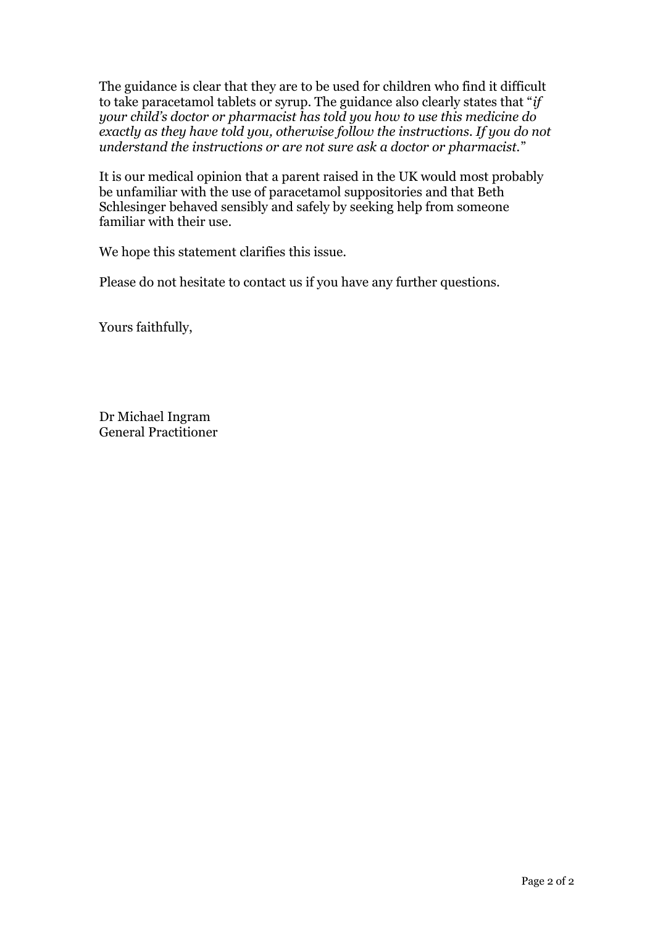The guidance is clear that they are to be used for children who find it difficult to take paracetamol tablets or syrup. The guidance also clearly states that "*if your child's doctor or pharmacist has told you how to use this medicine do exactly as they have told you, otherwise follow the instructions. If you do not understand the instructions or are not sure ask a doctor or pharmacist.*"

It is our medical opinion that a parent raised in the UK would most probably be unfamiliar with the use of paracetamol suppositories and that Beth Schlesinger behaved sensibly and safely by seeking help from someone familiar with their use.

We hope this statement clarifies this issue.

Please do not hesitate to contact us if you have any further questions.

Yours faithfully,

Dr Michael Ingram General Practitioner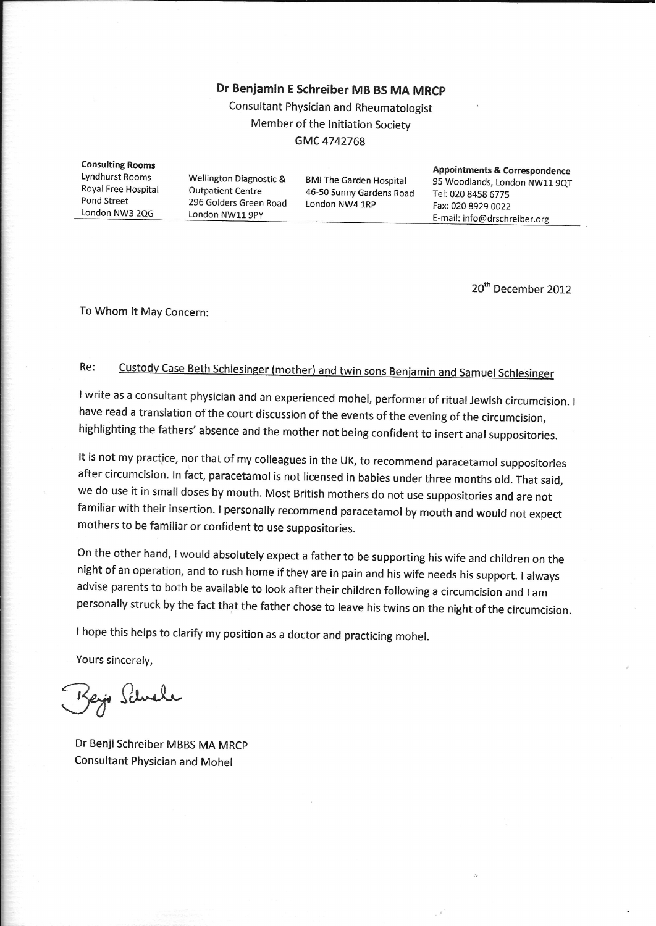# Dr Benjamin E Schreiber MB BS MA MRCP

Consultant Physician and Rheumatologist Member of the Initiation Society GMC 4742768

**Consulting Rooms Appointments & Correspondence Lyndhurst Rooms** Wellington Diagnostic & **BMI The Garden Hospital** 95 Woodlands, London NW11 9QT Royal Free Hospital **Outpatient Centre** 46-50 Sunny Gardens Road Tel: 020 8458 6775 Pond Street 296 Golders Green Road London NW4 1RP Fax: 020 8929 0022 London NW3 2QG London NW11 9PY E-mail: info@drschreiber.org

20<sup>th</sup> December 2012

To Whom It May Concern:

#### Custody Case Beth Schlesinger (mother) and twin sons Benjamin and Samuel Schlesinger Re:

I write as a consultant physician and an experienced mohel, performer of ritual Jewish circumcision. I have read a translation of the court discussion of the events of the evening of the circumcision, highlighting the fathers' absence and the mother not being confident to insert anal suppositories.

It is not my practice, nor that of my colleagues in the UK, to recommend paracetamol suppositories after circumcision. In fact, paracetamol is not licensed in babies under three months old. That said, we do use it in small doses by mouth. Most British mothers do not use suppositories and are not familiar with their insertion. I personally recommend paracetamol by mouth and would not expect mothers to be familiar or confident to use suppositories.

On the other hand, I would absolutely expect a father to be supporting his wife and children on the night of an operation, and to rush home if they are in pain and his wife needs his support. I always advise parents to both be available to look after their children following a circumcision and I am personally struck by the fact that the father chose to leave his twins on the night of the circumcision.

I hope this helps to clarify my position as a doctor and practicing mohel.

Yours sincerely,

Key Schule

Dr Benji Schreiber MBBS MA MRCP **Consultant Physician and Mohel**